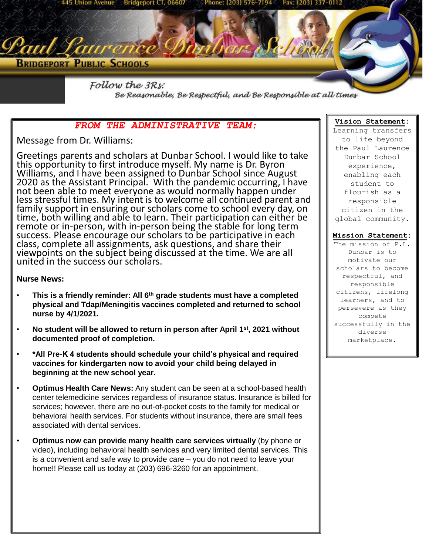

Be Reasonable, Be Respectful, and Be Responsible at all times

# *FROM THE ADMINISTRATIVE TEAM:*

Message from Dr. Williams:

Greetings parents and scholars at Dunbar School. I would like to take this opportunity to first introduce myself. My name is Dr. Byron Williams, and I have been assigned to Dunbar School since August 2020 as the Assistant Principal. With the pandemic occurring, I have not been able to meet everyone as would normally happen under less stressful times. My intent is to welcome all continued parent and family support in ensuring our scholars come to school every day, on time, both willing and able to learn. Their participation can either be remote or in-person, with in-person being the stable for long term success. Please encourage our scholars to be participative in each class, complete all assignments, ask questions, and share their viewpoints on the subject being discussed at the time. We are all united in the success our scholars.

## **Nurse News:**

- **This is a friendly reminder: All 6th grade students must have a completed physical and Tdap/Meningitis vaccines completed and returned to school nurse by 4/1/2021.**
- **No student will be allowed to return in person after April 1st, 2021 without documented proof of completion.**
- **\*All Pre-K 4 students should schedule your child's physical and required vaccines for kindergarten now to avoid your child being delayed in beginning at the new school year.**
- **Optimus Health Care News:** Any student can be seen at a school-based health center telemedicine services regardless of insurance status. Insurance is billed for services; however, there are no out-of-pocket costs to the family for medical or behavioral health services. For students without insurance, there are small fees associated with dental services.
- **Optimus now can provide many health care services virtually** (by phone or video), including behavioral health services and very limited dental services. This is a convenient and safe way to provide care – you do not need to leave your home!! Please call us today at (203) 696-3260 for an appointment.

### **Vision Statement:**

Learning transfers to life beyond the Paul Laurence Dunbar School experience, enabling each student to flourish as a responsible citizen in the global community.

## **Mission Statement:**

The mission of P.L. Dunbar is to motivate our scholars to become respectful, and responsible citizens, lifelong learners, and to persevere as they compete successfully in the diverse marketplace.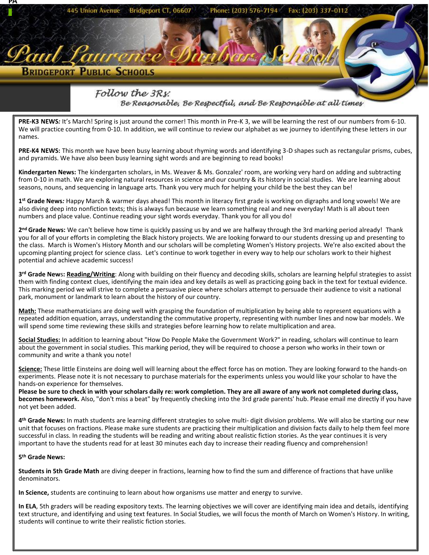

2<sup>nd</sup> Grade News: We can't believe how time is quickly passing us by and we are halfway through the 3rd marking period already! Thank you for all of your efforts in completing the Black history projects. We are looking forward to our students dressing up and presenting to the class. March is Women's History Month and our scholars will be completing Women's History projects. We're also excited about the upcoming planting project for science class. Let's continue to work together in every way to help our scholars work to their highest potential and achieve academic success!

**3 rd Grade New**s**: Reading/Writing**: Along with building on their fluency and decoding skills, scholars are learning helpful strategies to assist them with finding context clues, identifying the main idea and key details as well as practicing going back in the text for textual evidence. This marking period we will strive to complete a persuasive piece where scholars attempt to persuade their audience to visit a national park, monument or landmark to learn about the history of our country.

**Math:** These mathematicians are doing well with grasping the foundation of multiplication by being able to represent equations with a repeated addition equation, arrays, understanding the commutative property, representing with number lines and now bar models. We will spend some time reviewing these skills and strategies before learning how to relate multiplication and area.

**Social Studies:** In addition to learning about "How Do People Make the Government Work?" in reading, scholars will continue to learn about the government in social studies. This marking period, they will be required to choose a person who works in their town or community and write a thank you note!

**Science:** These little Einsteins are doing well will learning about the effect force has on motion. They are looking forward to the hands-on experiments. Please note it is not necessary to purchase materials for the experiments unless you would like your scholar to have the hands-on experience for themselves.

**Please be sure to check in with your scholars daily re: work completion. They are all aware of any work not completed during class, becomes homework.** Also, "don't miss a beat" by frequently checking into the 3rd grade parents' hub. Please email me directly if you have not yet been added.

**4 th Grade News:** In math students are learning different strategies to solve multi- digit division problems. We will also be starting our new unit that focuses on fractions. Please make sure students are practicing their multiplication and division facts daily to help them feel more successful in class. In reading the students will be reading and writing about realistic fiction stories. As the year continues it is very important to have the students read for at least 30 minutes each day to increase their reading fluency and comprehension!

#### **5 th Grade News:**

**Students in 5th Grade Math** are diving deeper in fractions, learning how to find the sum and difference of fractions that have unlike denominators.

**In Science,** students are continuing to learn about how organisms use matter and energy to survive.

**In ELA**, 5th graders will be reading expository texts. The learning objectives we will cover are identifying main idea and details, identifying text structure, and identifying and using text features. In Social Studies, we will focus the month of March on Women's History. In writing, students will continue to write their realistic fiction stories.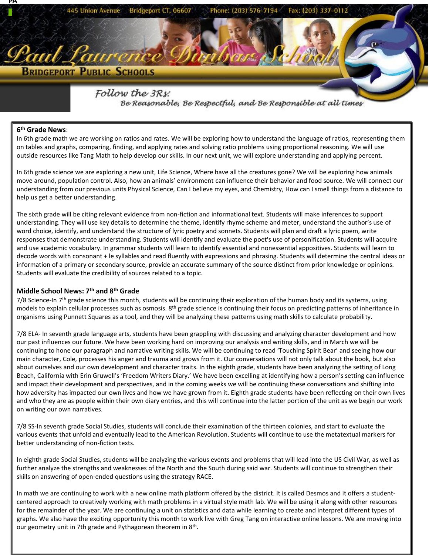

Be Reasonable, Be Respectful, and Be Responsible at all times

## **6 th Grade News**:

In 6th grade math we are working on ratios and rates. We will be exploring how to understand the language of ratios, representing them on tables and graphs, comparing, finding, and applying rates and solving ratio problems using proportional reasoning. We will use outside resources like Tang Math to help develop our skills. In our next unit, we will explore understanding and applying percent.

In 6th grade science we are exploring a new unit, Life Science, Where have all the creatures gone? We will be exploring how animals move around, population control. Also, how an animals' environment can influence their behavior and food source. We will connect our understanding from our previous units Physical Science, Can I believe my eyes, and Chemistry, How can I smell things from a distance to help us get a better understanding.

The sixth grade will be citing relevant evidence from non-fiction and informational text. Students will make inferences to support understanding. They will use key details to determine the theme, identify rhyme scheme and meter, understand the author's use of word choice, identify, and understand the structure of lyric poetry and sonnets. Students will plan and draft a lyric poem, write responses that demonstrate understanding. Students will identify and evaluate the poet's use of personification. Students will acquire and use academic vocabulary. In grammar students will learn to identify essential and nonessential appositives. Students will learn to decode words with consonant + le syllables and read fluently with expressions and phrasing. Students will determine the central ideas or information of a primary or secondary source, provide an accurate summary of the source distinct from prior knowledge or opinions. Students will evaluate the credibility of sources related to a topic.

#### **Middle School News: 7th and 8th Grade**

 $7/8$  Science-In  $7<sup>th</sup>$  grade science this month, students will be continuing their exploration of the human body and its systems, using models to explain cellular processes such as osmosis.  $8<sup>th</sup>$  grade science is continuing their focus on predicting patterns of inheritance in organisms using Punnett Squares as a tool, and they will be analyzing these patterns using math skills to calculate probability.

7/8 ELA- In seventh grade language arts, students have been grappling with discussing and analyzing character development and how our past influences our future. We have been working hard on improving our analysis and writing skills, and in March we will be continuing to hone our paragraph and narrative writing skills. We will be continuing to read 'Touching Spirit Bear' and seeing how our main character, Cole, processes his anger and trauma and grows from it. Our conversations will not only talk about the book, but also about ourselves and our own development and character traits. In the eighth grade, students have been analyzing the setting of Long Beach, California with Erin Gruwell's 'Freedom Writers Diary.' We have been excelling at identifying how a person's setting can influence and impact their development and perspectives, and in the coming weeks we will be continuing these conversations and shifting into how adversity has impacted our own lives and how we have grown from it. Eighth grade students have been reflecting on their own lives and who they are as people within their own diary entries, and this will continue into the latter portion of the unit as we begin our work on writing our own narratives.

7/8 SS-In seventh grade Social Studies, students will conclude their examination of the thirteen colonies, and start to evaluate the various events that unfold and eventually lead to the American Revolution. Students will continue to use the metatextual markers for better understanding of non-fiction texts.

In eighth grade Social Studies, students will be analyzing the various events and problems that will lead into the US Civil War, as well as further analyze the strengths and weaknesses of the North and the South during said war. Students will continue to strengthen their skills on answering of open-ended questions using the strategy RACE.

In math we are continuing to work with a new online math platform offered by the district. It is called Desmos and it offers a studentcentered approach to creatively working with math problems in a virtual style math lab. We will be using it along with other resources for the remainder of the year. We are continuing a unit on statistics and data while learning to create and interpret different types of graphs. We also have the exciting opportunity this month to work live with Greg Tang on interactive online lessons. We are moving into our geometry unit in 7th grade and Pythagorean theorem in 8<sup>th</sup>.